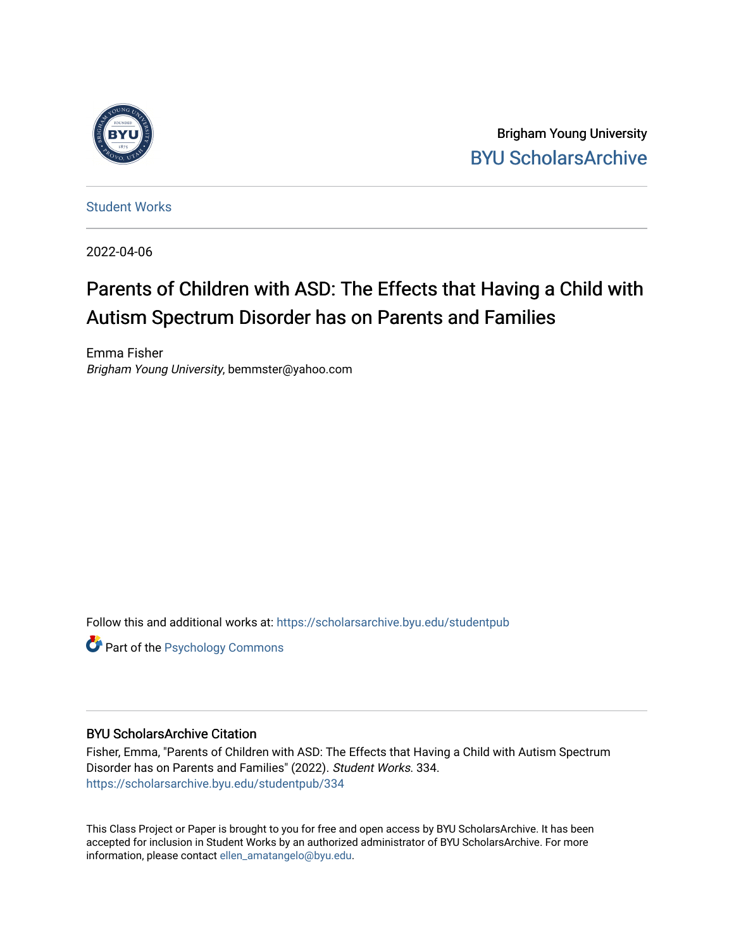

Brigham Young University [BYU ScholarsArchive](https://scholarsarchive.byu.edu/) 

[Student Works](https://scholarsarchive.byu.edu/studentpub)

2022-04-06

# Parents of Children with ASD: The Effects that Having a Child with Autism Spectrum Disorder has on Parents and Families

Emma Fisher Brigham Young University, bemmster@yahoo.com

Follow this and additional works at: [https://scholarsarchive.byu.edu/studentpub](https://scholarsarchive.byu.edu/studentpub?utm_source=scholarsarchive.byu.edu%2Fstudentpub%2F334&utm_medium=PDF&utm_campaign=PDFCoverPages)

**Part of the Psychology Commons** 

#### BYU ScholarsArchive Citation

Fisher, Emma, "Parents of Children with ASD: The Effects that Having a Child with Autism Spectrum Disorder has on Parents and Families" (2022). Student Works. 334. [https://scholarsarchive.byu.edu/studentpub/334](https://scholarsarchive.byu.edu/studentpub/334?utm_source=scholarsarchive.byu.edu%2Fstudentpub%2F334&utm_medium=PDF&utm_campaign=PDFCoverPages)

This Class Project or Paper is brought to you for free and open access by BYU ScholarsArchive. It has been accepted for inclusion in Student Works by an authorized administrator of BYU ScholarsArchive. For more information, please contact [ellen\\_amatangelo@byu.edu.](mailto:ellen_amatangelo@byu.edu)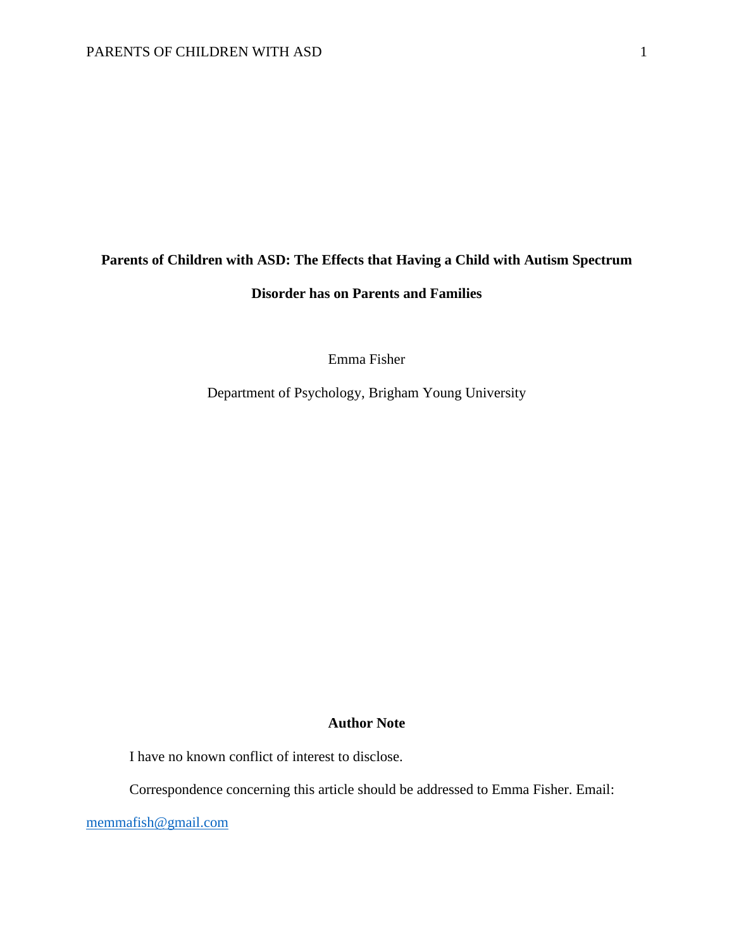### **Parents of Children with ASD: The Effects that Having a Child with Autism Spectrum**

### **Disorder has on Parents and Families**

Emma Fisher

Department of Psychology, Brigham Young University

#### **Author Note**

I have no known conflict of interest to disclose.

Correspondence concerning this article should be addressed to Emma Fisher. Email:

[memmafish@gmail.com](mailto:memmafish@gmail.com)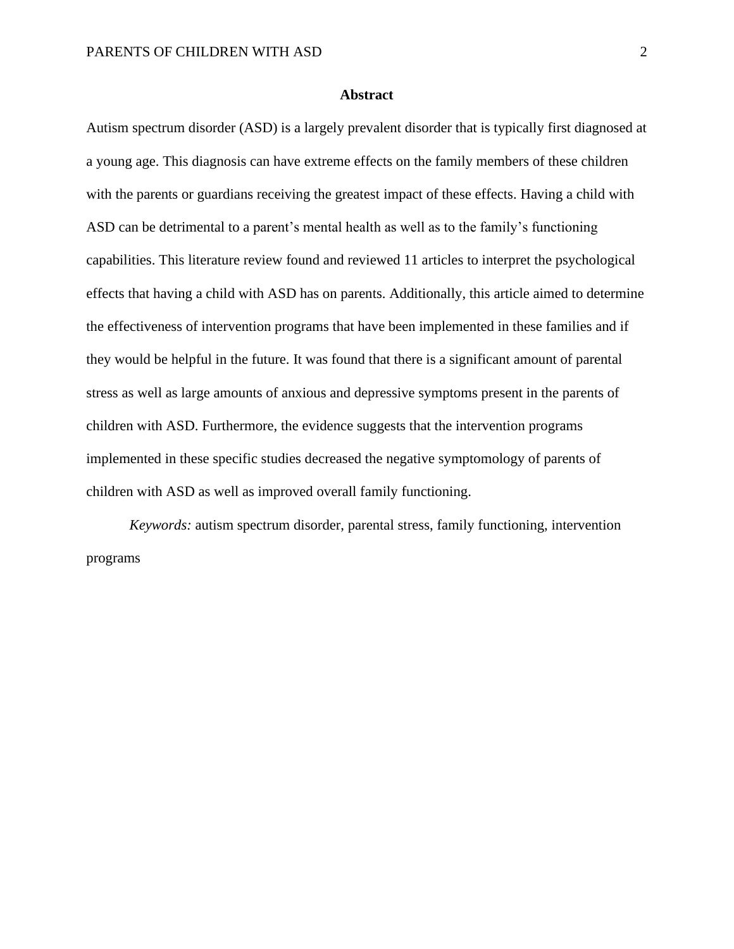#### **Abstract**

Autism spectrum disorder (ASD) is a largely prevalent disorder that is typically first diagnosed at a young age. This diagnosis can have extreme effects on the family members of these children with the parents or guardians receiving the greatest impact of these effects. Having a child with ASD can be detrimental to a parent's mental health as well as to the family's functioning capabilities. This literature review found and reviewed 11 articles to interpret the psychological effects that having a child with ASD has on parents. Additionally, this article aimed to determine the effectiveness of intervention programs that have been implemented in these families and if they would be helpful in the future. It was found that there is a significant amount of parental stress as well as large amounts of anxious and depressive symptoms present in the parents of children with ASD. Furthermore, the evidence suggests that the intervention programs implemented in these specific studies decreased the negative symptomology of parents of children with ASD as well as improved overall family functioning.

*Keywords:* autism spectrum disorder, parental stress, family functioning, intervention programs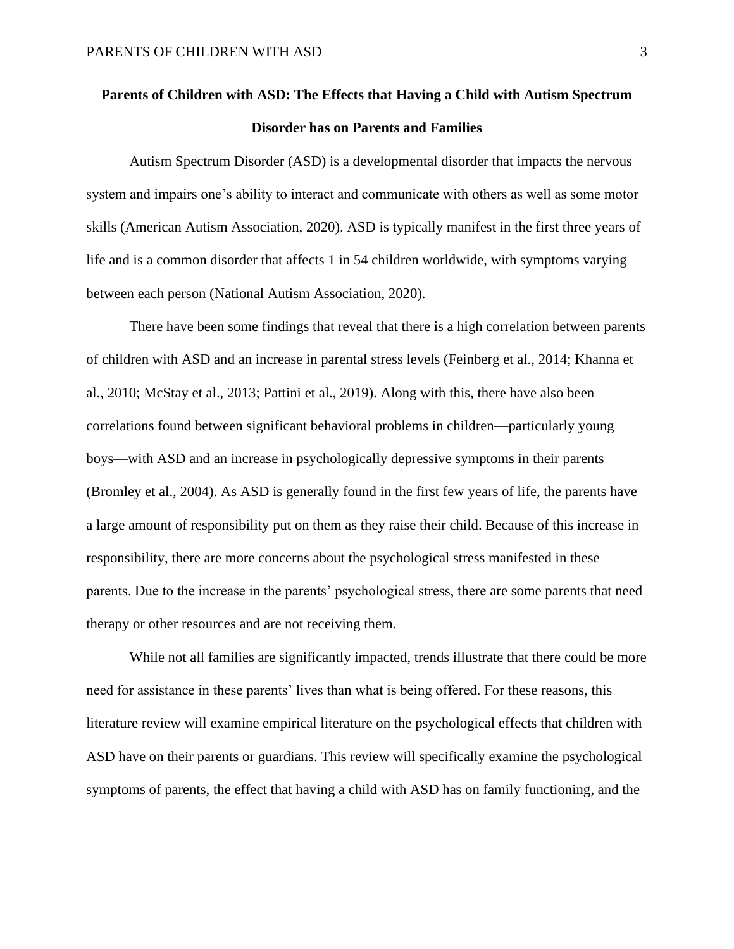## **Parents of Children with ASD: The Effects that Having a Child with Autism Spectrum Disorder has on Parents and Families**

Autism Spectrum Disorder (ASD) is a developmental disorder that impacts the nervous system and impairs one's ability to interact and communicate with others as well as some motor skills (American Autism Association, 2020). ASD is typically manifest in the first three years of life and is a common disorder that affects 1 in 54 children worldwide, with symptoms varying between each person (National Autism Association, 2020).

There have been some findings that reveal that there is a high correlation between parents of children with ASD and an increase in parental stress levels (Feinberg et al., 2014; Khanna et al., 2010; McStay et al., 2013; Pattini et al., 2019). Along with this, there have also been correlations found between significant behavioral problems in children—particularly young boys—with ASD and an increase in psychologically depressive symptoms in their parents (Bromley et al., 2004). As ASD is generally found in the first few years of life, the parents have a large amount of responsibility put on them as they raise their child. Because of this increase in responsibility, there are more concerns about the psychological stress manifested in these parents. Due to the increase in the parents' psychological stress, there are some parents that need therapy or other resources and are not receiving them.

While not all families are significantly impacted, trends illustrate that there could be more need for assistance in these parents' lives than what is being offered. For these reasons, this literature review will examine empirical literature on the psychological effects that children with ASD have on their parents or guardians. This review will specifically examine the psychological symptoms of parents, the effect that having a child with ASD has on family functioning, and the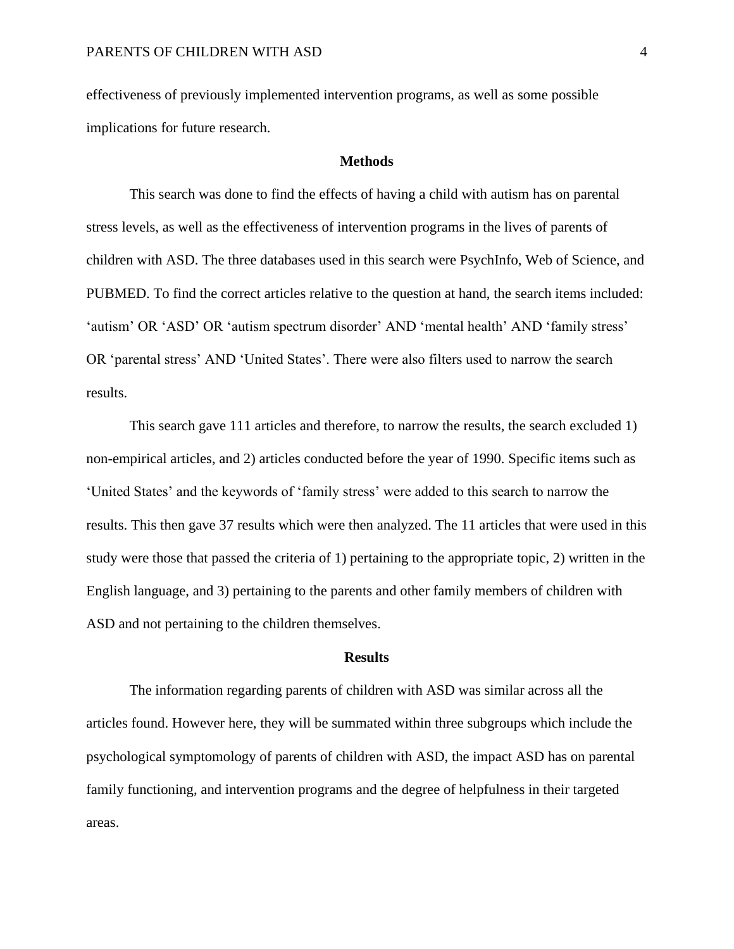effectiveness of previously implemented intervention programs, as well as some possible implications for future research.

#### **Methods**

This search was done to find the effects of having a child with autism has on parental stress levels, as well as the effectiveness of intervention programs in the lives of parents of children with ASD. The three databases used in this search were PsychInfo, Web of Science, and PUBMED. To find the correct articles relative to the question at hand, the search items included: 'autism' OR 'ASD' OR 'autism spectrum disorder' AND 'mental health' AND 'family stress' OR 'parental stress' AND 'United States'. There were also filters used to narrow the search results.

This search gave 111 articles and therefore, to narrow the results, the search excluded 1) non-empirical articles, and 2) articles conducted before the year of 1990. Specific items such as 'United States' and the keywords of 'family stress' were added to this search to narrow the results. This then gave 37 results which were then analyzed. The 11 articles that were used in this study were those that passed the criteria of 1) pertaining to the appropriate topic, 2) written in the English language, and 3) pertaining to the parents and other family members of children with ASD and not pertaining to the children themselves.

#### **Results**

The information regarding parents of children with ASD was similar across all the articles found. However here, they will be summated within three subgroups which include the psychological symptomology of parents of children with ASD, the impact ASD has on parental family functioning, and intervention programs and the degree of helpfulness in their targeted areas.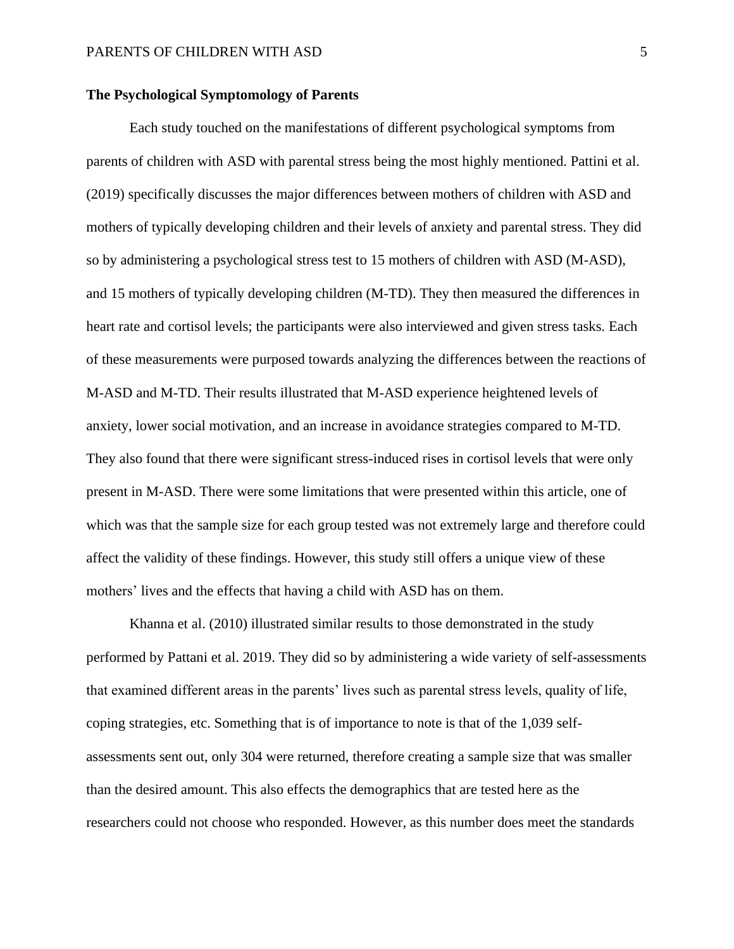#### **The Psychological Symptomology of Parents**

Each study touched on the manifestations of different psychological symptoms from parents of children with ASD with parental stress being the most highly mentioned. Pattini et al. (2019) specifically discusses the major differences between mothers of children with ASD and mothers of typically developing children and their levels of anxiety and parental stress. They did so by administering a psychological stress test to 15 mothers of children with ASD (M-ASD), and 15 mothers of typically developing children (M-TD). They then measured the differences in heart rate and cortisol levels; the participants were also interviewed and given stress tasks. Each of these measurements were purposed towards analyzing the differences between the reactions of M-ASD and M-TD. Their results illustrated that M-ASD experience heightened levels of anxiety, lower social motivation, and an increase in avoidance strategies compared to M-TD. They also found that there were significant stress-induced rises in cortisol levels that were only present in M-ASD. There were some limitations that were presented within this article, one of which was that the sample size for each group tested was not extremely large and therefore could affect the validity of these findings. However, this study still offers a unique view of these mothers' lives and the effects that having a child with ASD has on them.

Khanna et al. (2010) illustrated similar results to those demonstrated in the study performed by Pattani et al. 2019. They did so by administering a wide variety of self-assessments that examined different areas in the parents' lives such as parental stress levels, quality of life, coping strategies, etc. Something that is of importance to note is that of the 1,039 selfassessments sent out, only 304 were returned, therefore creating a sample size that was smaller than the desired amount. This also effects the demographics that are tested here as the researchers could not choose who responded. However, as this number does meet the standards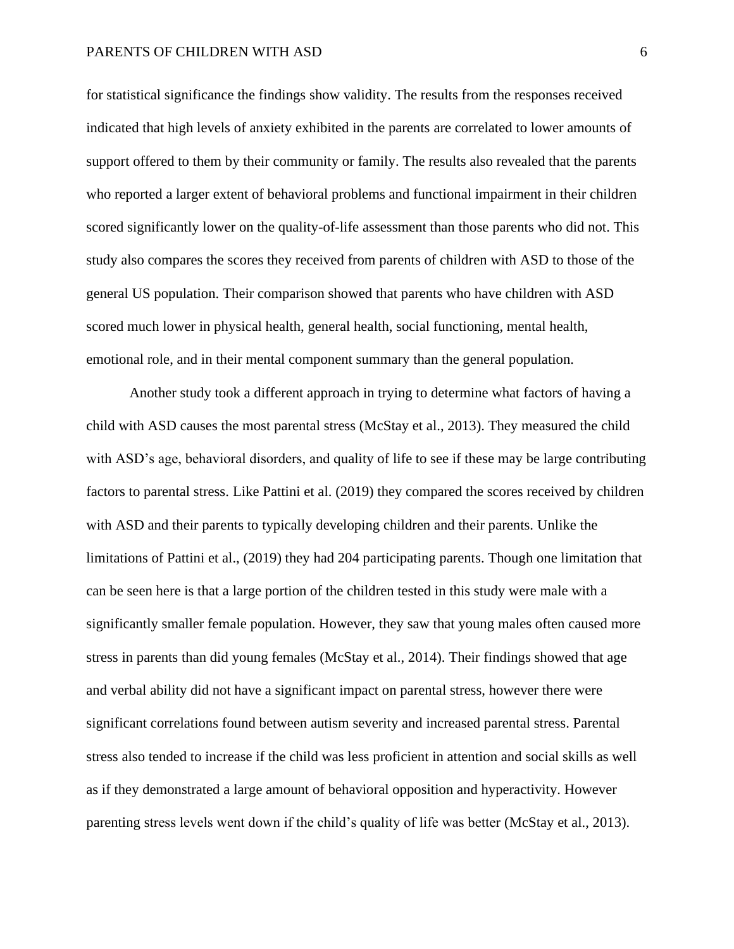#### PARENTS OF CHILDREN WITH ASD 6

for statistical significance the findings show validity. The results from the responses received indicated that high levels of anxiety exhibited in the parents are correlated to lower amounts of support offered to them by their community or family. The results also revealed that the parents who reported a larger extent of behavioral problems and functional impairment in their children scored significantly lower on the quality-of-life assessment than those parents who did not. This study also compares the scores they received from parents of children with ASD to those of the general US population. Their comparison showed that parents who have children with ASD scored much lower in physical health, general health, social functioning, mental health, emotional role, and in their mental component summary than the general population.

Another study took a different approach in trying to determine what factors of having a child with ASD causes the most parental stress (McStay et al., 2013). They measured the child with ASD's age, behavioral disorders, and quality of life to see if these may be large contributing factors to parental stress. Like Pattini et al. (2019) they compared the scores received by children with ASD and their parents to typically developing children and their parents. Unlike the limitations of Pattini et al., (2019) they had 204 participating parents. Though one limitation that can be seen here is that a large portion of the children tested in this study were male with a significantly smaller female population. However, they saw that young males often caused more stress in parents than did young females (McStay et al., 2014). Their findings showed that age and verbal ability did not have a significant impact on parental stress, however there were significant correlations found between autism severity and increased parental stress. Parental stress also tended to increase if the child was less proficient in attention and social skills as well as if they demonstrated a large amount of behavioral opposition and hyperactivity. However parenting stress levels went down if the child's quality of life was better (McStay et al., 2013).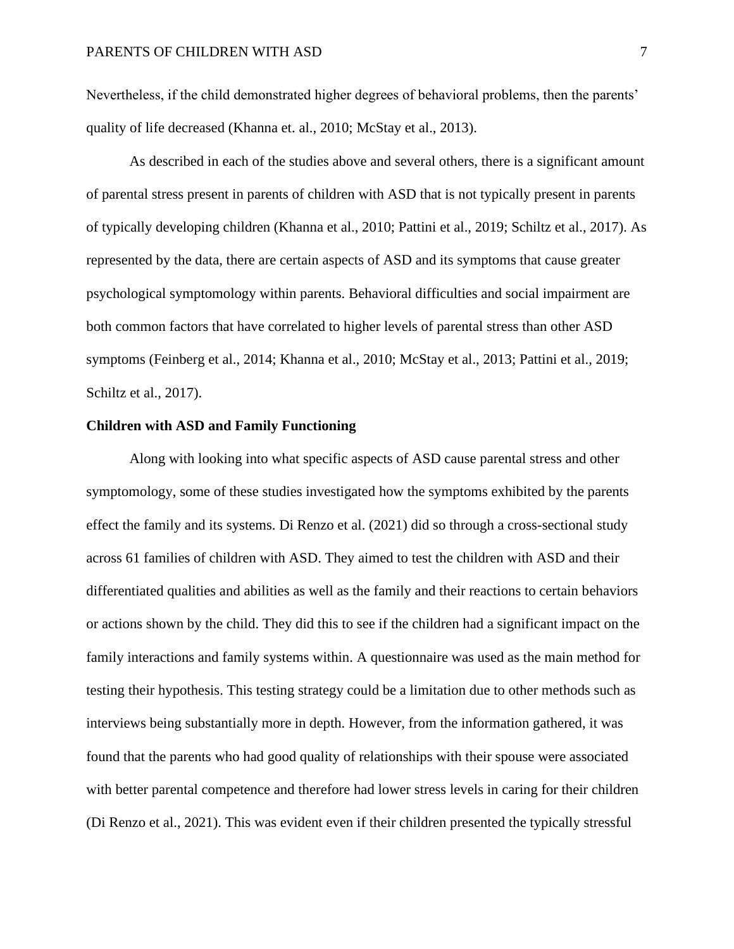Nevertheless, if the child demonstrated higher degrees of behavioral problems, then the parents' quality of life decreased (Khanna et. al., 2010; McStay et al., 2013).

As described in each of the studies above and several others, there is a significant amount of parental stress present in parents of children with ASD that is not typically present in parents of typically developing children (Khanna et al., 2010; Pattini et al., 2019; Schiltz et al., 2017). As represented by the data, there are certain aspects of ASD and its symptoms that cause greater psychological symptomology within parents. Behavioral difficulties and social impairment are both common factors that have correlated to higher levels of parental stress than other ASD symptoms (Feinberg et al., 2014; Khanna et al., 2010; McStay et al., 2013; Pattini et al., 2019; Schiltz et al., 2017).

#### **Children with ASD and Family Functioning**

Along with looking into what specific aspects of ASD cause parental stress and other symptomology, some of these studies investigated how the symptoms exhibited by the parents effect the family and its systems. Di Renzo et al. (2021) did so through a cross-sectional study across 61 families of children with ASD. They aimed to test the children with ASD and their differentiated qualities and abilities as well as the family and their reactions to certain behaviors or actions shown by the child. They did this to see if the children had a significant impact on the family interactions and family systems within. A questionnaire was used as the main method for testing their hypothesis. This testing strategy could be a limitation due to other methods such as interviews being substantially more in depth. However, from the information gathered, it was found that the parents who had good quality of relationships with their spouse were associated with better parental competence and therefore had lower stress levels in caring for their children (Di Renzo et al., 2021). This was evident even if their children presented the typically stressful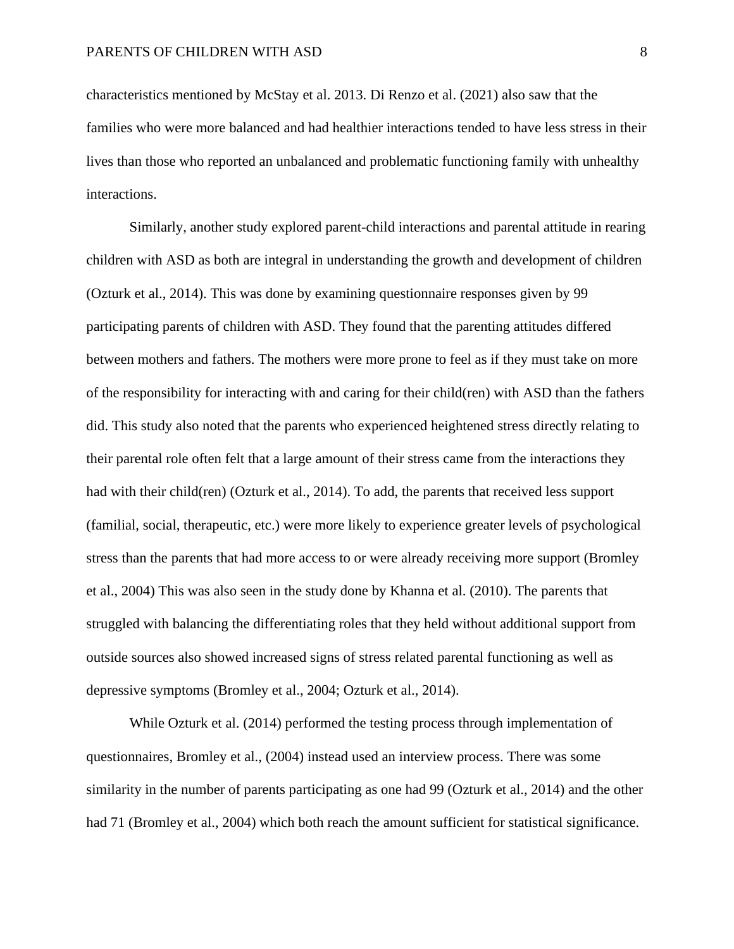characteristics mentioned by McStay et al. 2013. Di Renzo et al. (2021) also saw that the families who were more balanced and had healthier interactions tended to have less stress in their lives than those who reported an unbalanced and problematic functioning family with unhealthy interactions.

Similarly, another study explored parent-child interactions and parental attitude in rearing children with ASD as both are integral in understanding the growth and development of children (Ozturk et al., 2014). This was done by examining questionnaire responses given by 99 participating parents of children with ASD. They found that the parenting attitudes differed between mothers and fathers. The mothers were more prone to feel as if they must take on more of the responsibility for interacting with and caring for their child(ren) with ASD than the fathers did. This study also noted that the parents who experienced heightened stress directly relating to their parental role often felt that a large amount of their stress came from the interactions they had with their child(ren) (Ozturk et al., 2014). To add, the parents that received less support (familial, social, therapeutic, etc.) were more likely to experience greater levels of psychological stress than the parents that had more access to or were already receiving more support (Bromley et al., 2004) This was also seen in the study done by Khanna et al. (2010). The parents that struggled with balancing the differentiating roles that they held without additional support from outside sources also showed increased signs of stress related parental functioning as well as depressive symptoms (Bromley et al., 2004; Ozturk et al., 2014).

While Ozturk et al. (2014) performed the testing process through implementation of questionnaires, Bromley et al., (2004) instead used an interview process. There was some similarity in the number of parents participating as one had 99 (Ozturk et al., 2014) and the other had 71 (Bromley et al., 2004) which both reach the amount sufficient for statistical significance.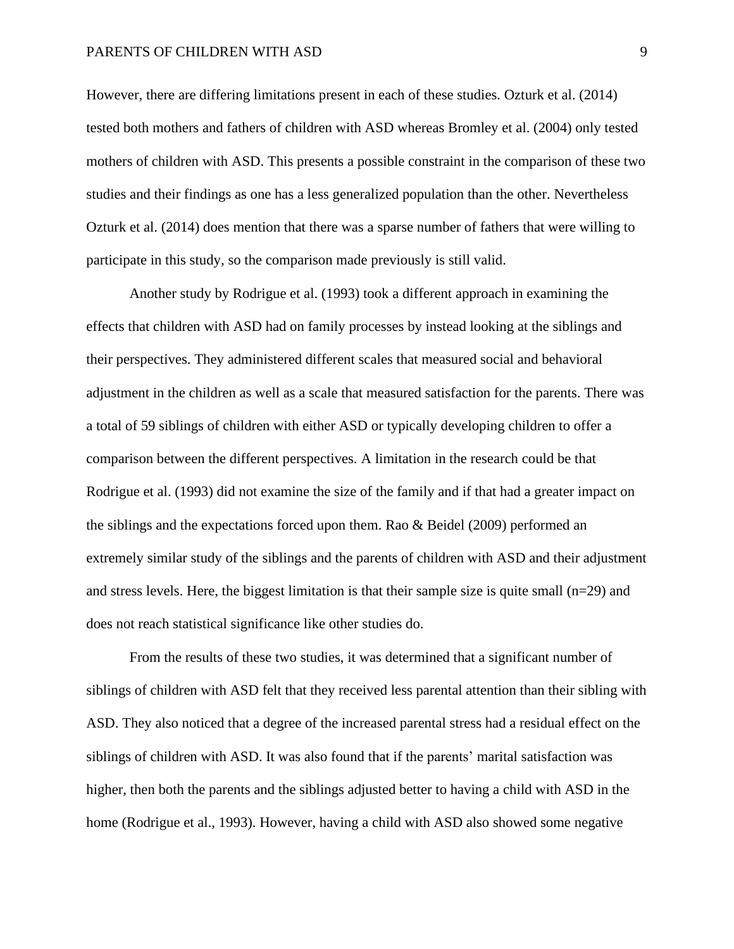#### PARENTS OF CHILDREN WITH ASD 9

However, there are differing limitations present in each of these studies. Ozturk et al. (2014) tested both mothers and fathers of children with ASD whereas Bromley et al. (2004) only tested mothers of children with ASD. This presents a possible constraint in the comparison of these two studies and their findings as one has a less generalized population than the other. Nevertheless Ozturk et al. (2014) does mention that there was a sparse number of fathers that were willing to participate in this study, so the comparison made previously is still valid.

Another study by Rodrigue et al. (1993) took a different approach in examining the effects that children with ASD had on family processes by instead looking at the siblings and their perspectives. They administered different scales that measured social and behavioral adjustment in the children as well as a scale that measured satisfaction for the parents. There was a total of 59 siblings of children with either ASD or typically developing children to offer a comparison between the different perspectives. A limitation in the research could be that Rodrigue et al. (1993) did not examine the size of the family and if that had a greater impact on the siblings and the expectations forced upon them. Rao & Beidel (2009) performed an extremely similar study of the siblings and the parents of children with ASD and their adjustment and stress levels. Here, the biggest limitation is that their sample size is quite small  $(n=29)$  and does not reach statistical significance like other studies do.

From the results of these two studies, it was determined that a significant number of siblings of children with ASD felt that they received less parental attention than their sibling with ASD. They also noticed that a degree of the increased parental stress had a residual effect on the siblings of children with ASD. It was also found that if the parents' marital satisfaction was higher, then both the parents and the siblings adjusted better to having a child with ASD in the home (Rodrigue et al., 1993). However, having a child with ASD also showed some negative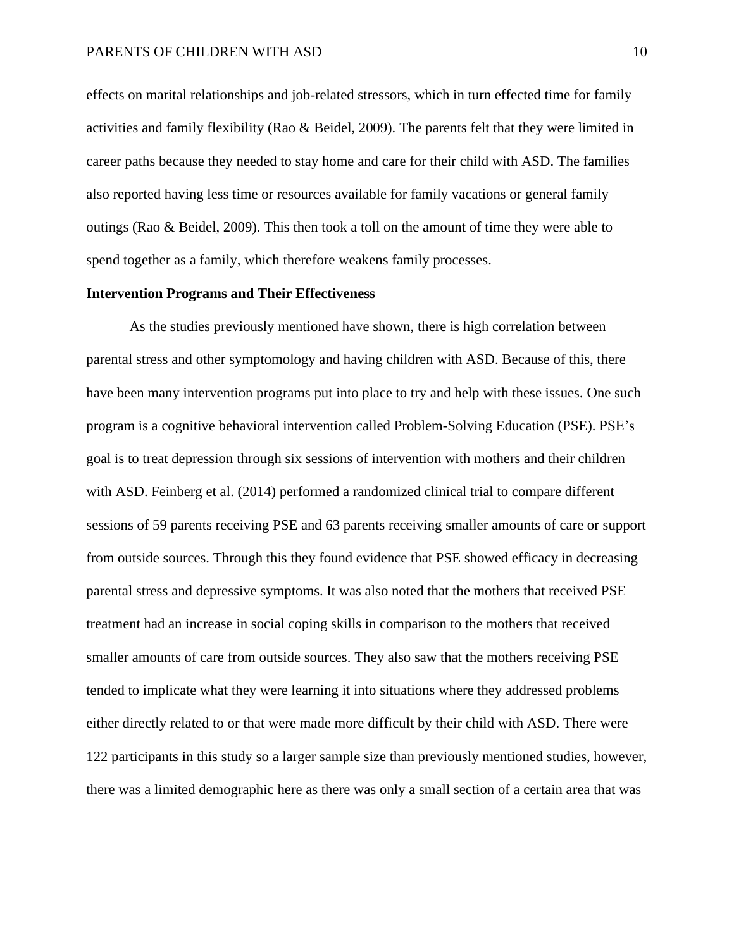#### PARENTS OF CHILDREN WITH ASD 10

effects on marital relationships and job-related stressors, which in turn effected time for family activities and family flexibility (Rao & Beidel, 2009). The parents felt that they were limited in career paths because they needed to stay home and care for their child with ASD. The families also reported having less time or resources available for family vacations or general family outings (Rao & Beidel, 2009). This then took a toll on the amount of time they were able to spend together as a family, which therefore weakens family processes.

#### **Intervention Programs and Their Effectiveness**

As the studies previously mentioned have shown, there is high correlation between parental stress and other symptomology and having children with ASD. Because of this, there have been many intervention programs put into place to try and help with these issues. One such program is a cognitive behavioral intervention called Problem-Solving Education (PSE). PSE's goal is to treat depression through six sessions of intervention with mothers and their children with ASD. Feinberg et al. (2014) performed a randomized clinical trial to compare different sessions of 59 parents receiving PSE and 63 parents receiving smaller amounts of care or support from outside sources. Through this they found evidence that PSE showed efficacy in decreasing parental stress and depressive symptoms. It was also noted that the mothers that received PSE treatment had an increase in social coping skills in comparison to the mothers that received smaller amounts of care from outside sources. They also saw that the mothers receiving PSE tended to implicate what they were learning it into situations where they addressed problems either directly related to or that were made more difficult by their child with ASD. There were 122 participants in this study so a larger sample size than previously mentioned studies, however, there was a limited demographic here as there was only a small section of a certain area that was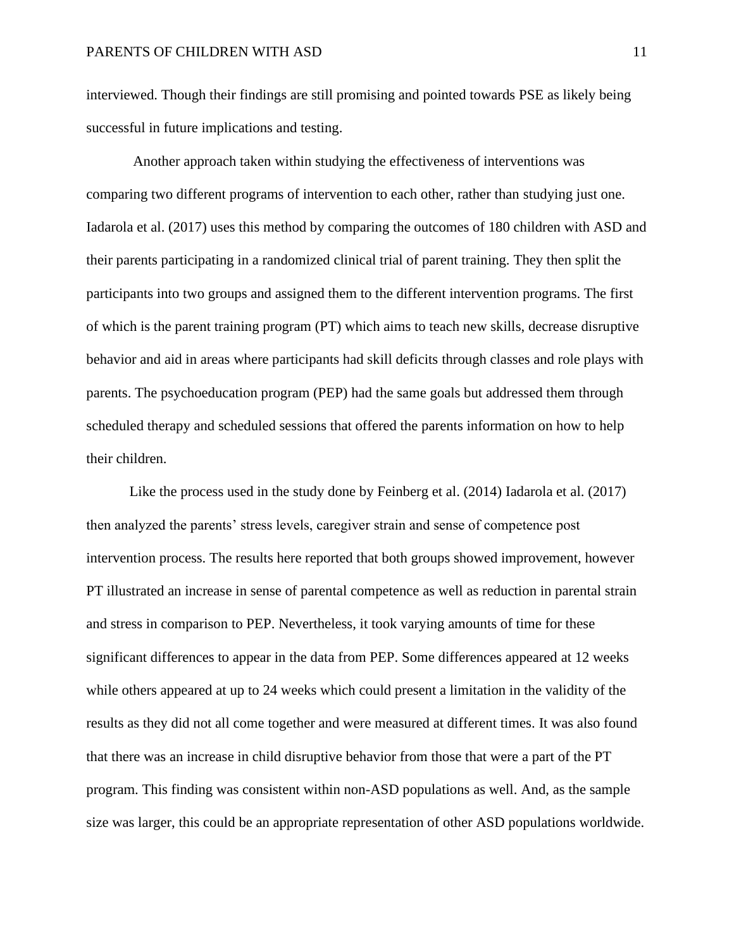interviewed. Though their findings are still promising and pointed towards PSE as likely being successful in future implications and testing.

Another approach taken within studying the effectiveness of interventions was comparing two different programs of intervention to each other, rather than studying just one. Iadarola et al. (2017) uses this method by comparing the outcomes of 180 children with ASD and their parents participating in a randomized clinical trial of parent training. They then split the participants into two groups and assigned them to the different intervention programs. The first of which is the parent training program (PT) which aims to teach new skills, decrease disruptive behavior and aid in areas where participants had skill deficits through classes and role plays with parents. The psychoeducation program (PEP) had the same goals but addressed them through scheduled therapy and scheduled sessions that offered the parents information on how to help their children.

Like the process used in the study done by Feinberg et al. (2014) Iadarola et al. (2017) then analyzed the parents' stress levels, caregiver strain and sense of competence post intervention process. The results here reported that both groups showed improvement, however PT illustrated an increase in sense of parental competence as well as reduction in parental strain and stress in comparison to PEP. Nevertheless, it took varying amounts of time for these significant differences to appear in the data from PEP. Some differences appeared at 12 weeks while others appeared at up to 24 weeks which could present a limitation in the validity of the results as they did not all come together and were measured at different times. It was also found that there was an increase in child disruptive behavior from those that were a part of the PT program. This finding was consistent within non-ASD populations as well. And, as the sample size was larger, this could be an appropriate representation of other ASD populations worldwide.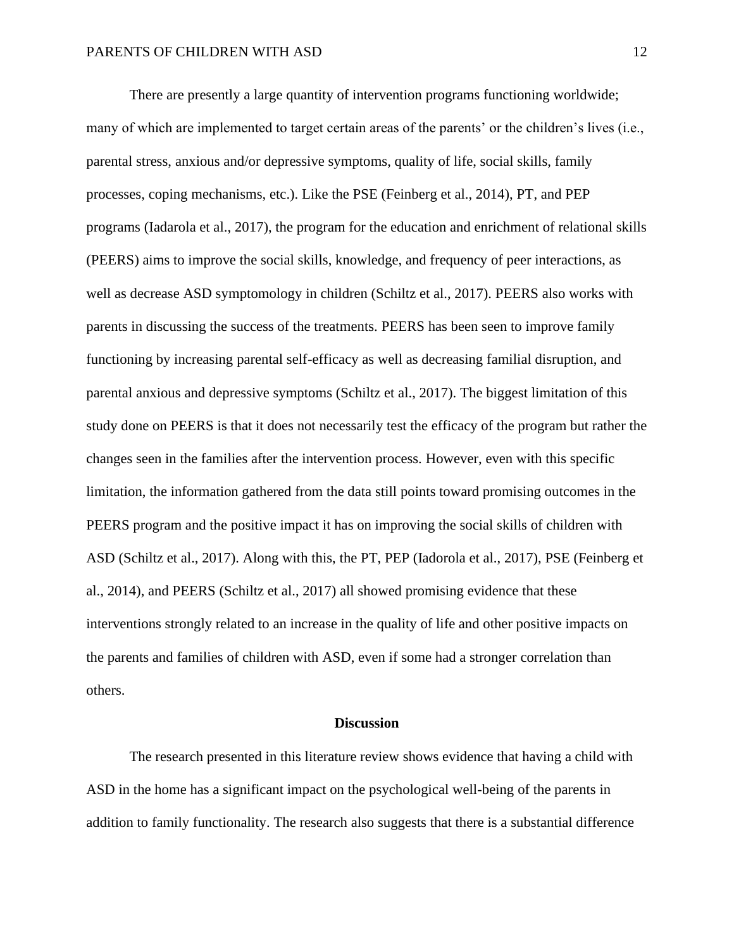There are presently a large quantity of intervention programs functioning worldwide; many of which are implemented to target certain areas of the parents' or the children's lives (i.e., parental stress, anxious and/or depressive symptoms, quality of life, social skills, family processes, coping mechanisms, etc.). Like the PSE (Feinberg et al., 2014), PT, and PEP programs (Iadarola et al., 2017), the program for the education and enrichment of relational skills (PEERS) aims to improve the social skills, knowledge, and frequency of peer interactions, as well as decrease ASD symptomology in children (Schiltz et al., 2017). PEERS also works with parents in discussing the success of the treatments. PEERS has been seen to improve family functioning by increasing parental self-efficacy as well as decreasing familial disruption, and parental anxious and depressive symptoms (Schiltz et al., 2017). The biggest limitation of this study done on PEERS is that it does not necessarily test the efficacy of the program but rather the changes seen in the families after the intervention process. However, even with this specific limitation, the information gathered from the data still points toward promising outcomes in the PEERS program and the positive impact it has on improving the social skills of children with ASD (Schiltz et al., 2017). Along with this, the PT, PEP (Iadorola et al., 2017), PSE (Feinberg et al., 2014), and PEERS (Schiltz et al., 2017) all showed promising evidence that these interventions strongly related to an increase in the quality of life and other positive impacts on the parents and families of children with ASD, even if some had a stronger correlation than others.

#### **Discussion**

The research presented in this literature review shows evidence that having a child with ASD in the home has a significant impact on the psychological well-being of the parents in addition to family functionality. The research also suggests that there is a substantial difference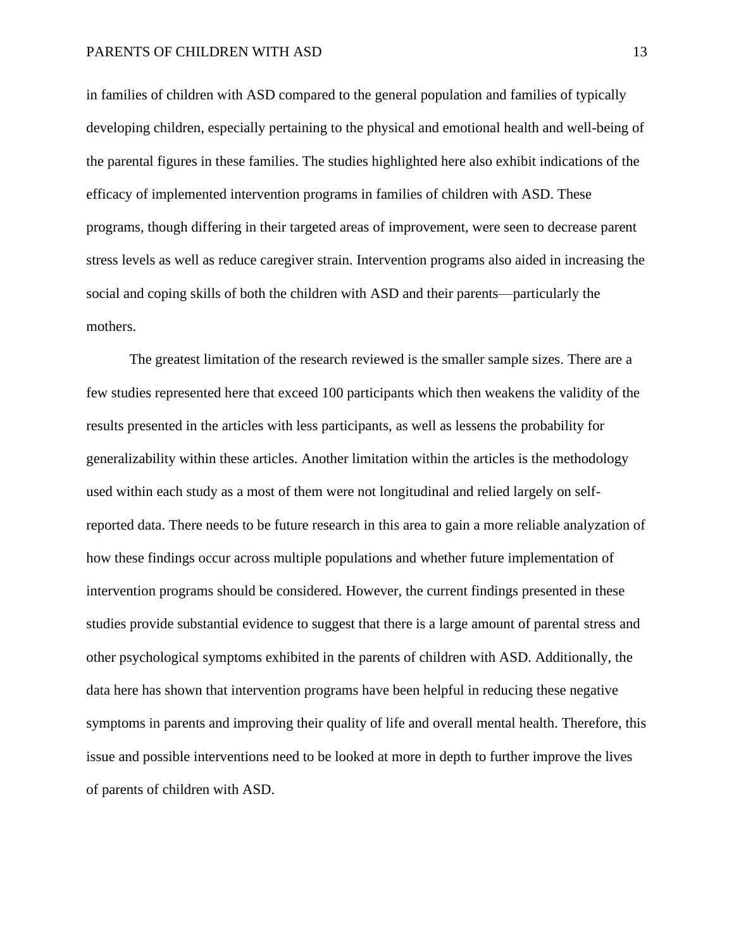in families of children with ASD compared to the general population and families of typically developing children, especially pertaining to the physical and emotional health and well-being of the parental figures in these families. The studies highlighted here also exhibit indications of the efficacy of implemented intervention programs in families of children with ASD. These programs, though differing in their targeted areas of improvement, were seen to decrease parent stress levels as well as reduce caregiver strain. Intervention programs also aided in increasing the social and coping skills of both the children with ASD and their parents—particularly the mothers.

The greatest limitation of the research reviewed is the smaller sample sizes. There are a few studies represented here that exceed 100 participants which then weakens the validity of the results presented in the articles with less participants, as well as lessens the probability for generalizability within these articles. Another limitation within the articles is the methodology used within each study as a most of them were not longitudinal and relied largely on selfreported data. There needs to be future research in this area to gain a more reliable analyzation of how these findings occur across multiple populations and whether future implementation of intervention programs should be considered. However, the current findings presented in these studies provide substantial evidence to suggest that there is a large amount of parental stress and other psychological symptoms exhibited in the parents of children with ASD. Additionally, the data here has shown that intervention programs have been helpful in reducing these negative symptoms in parents and improving their quality of life and overall mental health. Therefore, this issue and possible interventions need to be looked at more in depth to further improve the lives of parents of children with ASD.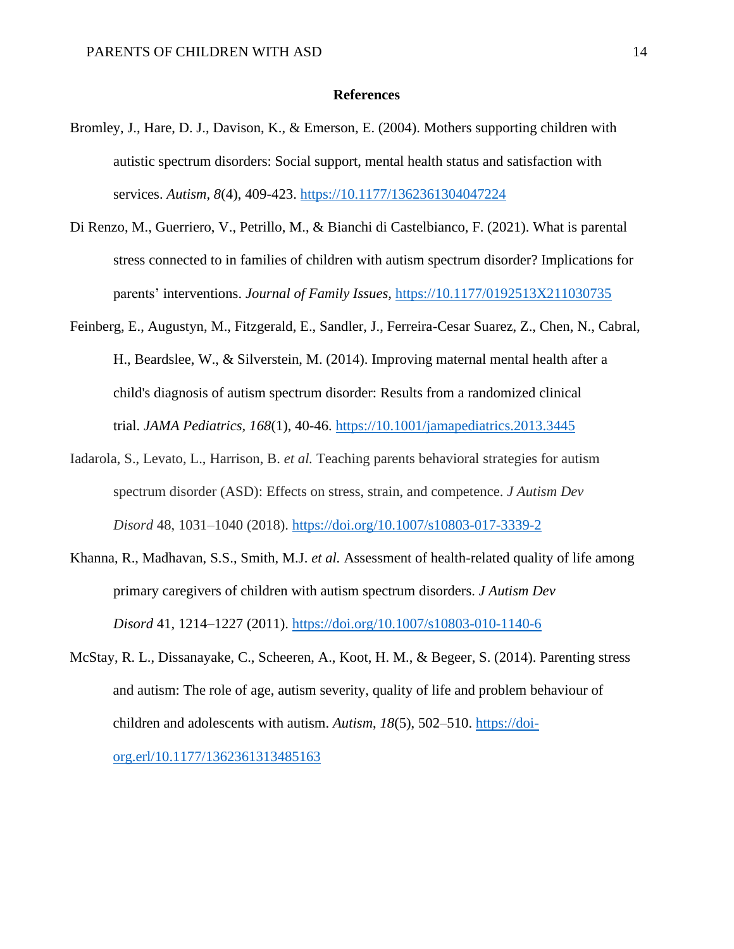#### **References**

- Bromley, J., Hare, D. J., Davison, K., & Emerson, E. (2004). Mothers supporting children with autistic spectrum disorders: Social support, mental health status and satisfaction with services. *Autism, 8*(4), 409-423. [https://10.1177/1362361304047224](https://10.0.4.153/1362361304047224)
- Di Renzo, M., Guerriero, V., Petrillo, M., & Bianchi di Castelbianco, F. (2021). What is parental stress connected to in families of children with autism spectrum disorder? Implications for parents' interventions. *Journal of Family Issues,* [https://10.1177/0192513X211030735](https://10.0.4.153/0192513X211030735)
- Feinberg, E., Augustyn, M., Fitzgerald, E., Sandler, J., Ferreira-Cesar Suarez, Z., Chen, N., Cabral, H., Beardslee, W., & Silverstein, M. (2014). Improving maternal mental health after a child's diagnosis of autism spectrum disorder: Results from a randomized clinical trial. *JAMA Pediatrics, 168*(1), 40-46. [https://10.1001/jamapediatrics.2013.3445](https://10.0.3.233/jamapediatrics.2013.3445)
- Iadarola, S., Levato, L., Harrison, B. *et al.* Teaching parents behavioral strategies for autism spectrum disorder (ASD): Effects on stress, strain, and competence. *J Autism Dev Disord* 48, 1031–1040 (2018).<https://doi.org/10.1007/s10803-017-3339-2>
- Khanna, R., Madhavan, S.S., Smith, M.J. *et al.* Assessment of health-related quality of life among primary caregivers of children with autism spectrum disorders. *J Autism Dev Disord* 41, 1214–1227 (2011).<https://doi.org/10.1007/s10803-010-1140-6>
- McStay, R. L., Dissanayake, C., Scheeren, A., Koot, H. M., & Begeer, S. (2014). Parenting stress and autism: The role of age, autism severity, quality of life and problem behaviour of children and adolescents with autism. *Autism*, *18*(5), 502–510. [https://doi](https://doi-org.erl/10.1177/1362361313485163)[org.erl/10.1177/1362361313485163](https://doi-org.erl/10.1177/1362361313485163)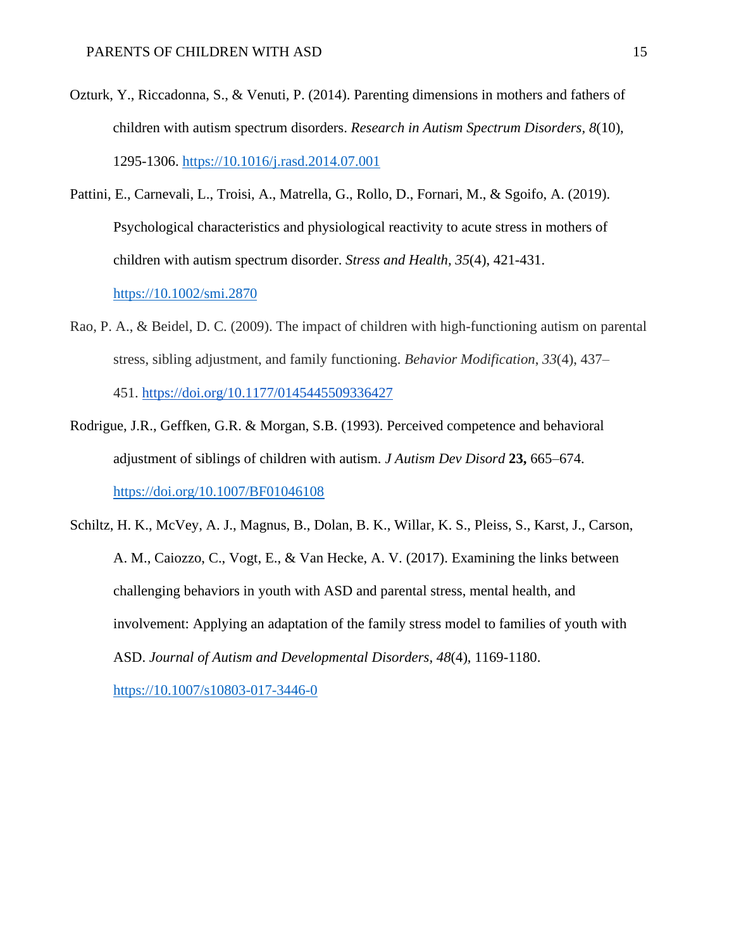- Ozturk, Y., Riccadonna, S., & Venuti, P. (2014). Parenting dimensions in mothers and fathers of children with autism spectrum disorders. *Research in Autism Spectrum Disorders, 8*(10), 1295-1306. [https://10.1016/j.rasd.2014.07.001](https://10.0.3.248/j.rasd.2014.07.001)
- Pattini, E., Carnevali, L., Troisi, A., Matrella, G., Rollo, D., Fornari, M., & Sgoifo, A. (2019). Psychological characteristics and physiological reactivity to acute stress in mothers of children with autism spectrum disorder. *Stress and Health, 35*(4), 421-431. [https://10.1002/smi.2870](https://10.0.3.234/smi.2870)
- Rao, P. A., & Beidel, D. C. (2009). The impact of children with high-functioning autism on parental stress, sibling adjustment, and family functioning. *Behavior Modification*, *33*(4), 437–

451. <https://doi.org/10.1177/0145445509336427>

- Rodrigue, J.R., Geffken, G.R. & Morgan, S.B. (1993). Perceived competence and behavioral adjustment of siblings of children with autism. *J Autism Dev Disord* **23,** 665–674. <https://doi.org/10.1007/BF01046108>
- Schiltz, H. K., McVey, A. J., Magnus, B., Dolan, B. K., Willar, K. S., Pleiss, S., Karst, J., Carson, A. M., Caiozzo, C., Vogt, E., & Van Hecke, A. V. (2017). Examining the links between challenging behaviors in youth with ASD and parental stress, mental health, and involvement: Applying an adaptation of the family stress model to families of youth with ASD. *Journal of Autism and Developmental Disorders, 48*(4), 1169-1180.

[https://10.1007/s10803-017-3446-0](https://10.0.3.239/s10803-017-3446-0)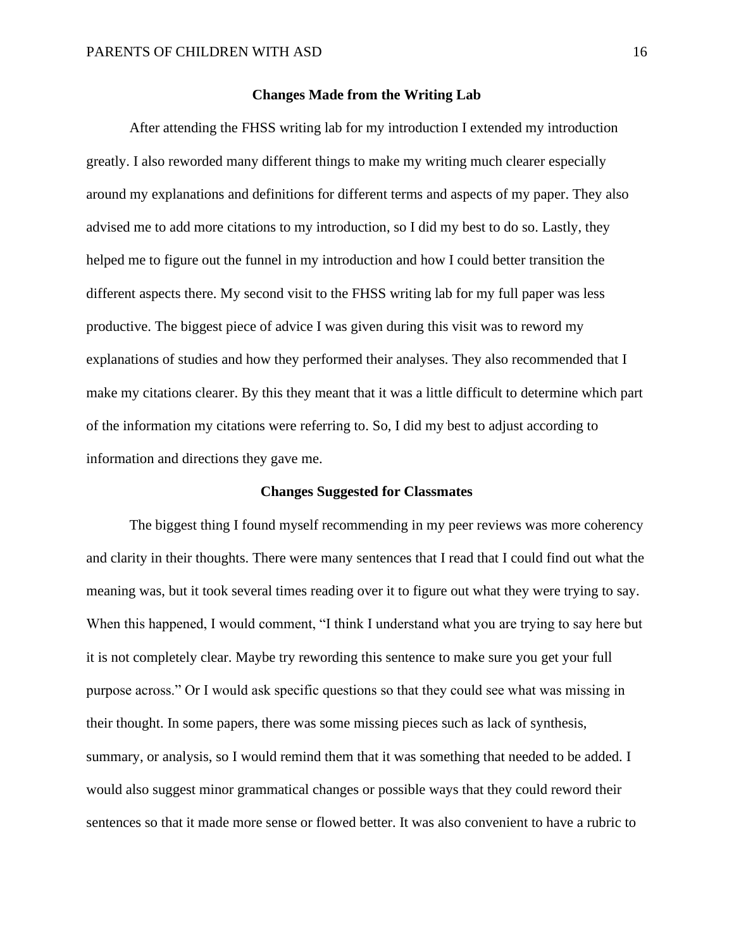#### **Changes Made from the Writing Lab**

After attending the FHSS writing lab for my introduction I extended my introduction greatly. I also reworded many different things to make my writing much clearer especially around my explanations and definitions for different terms and aspects of my paper. They also advised me to add more citations to my introduction, so I did my best to do so. Lastly, they helped me to figure out the funnel in my introduction and how I could better transition the different aspects there. My second visit to the FHSS writing lab for my full paper was less productive. The biggest piece of advice I was given during this visit was to reword my explanations of studies and how they performed their analyses. They also recommended that I make my citations clearer. By this they meant that it was a little difficult to determine which part of the information my citations were referring to. So, I did my best to adjust according to information and directions they gave me.

#### **Changes Suggested for Classmates**

The biggest thing I found myself recommending in my peer reviews was more coherency and clarity in their thoughts. There were many sentences that I read that I could find out what the meaning was, but it took several times reading over it to figure out what they were trying to say. When this happened, I would comment, "I think I understand what you are trying to say here but it is not completely clear. Maybe try rewording this sentence to make sure you get your full purpose across." Or I would ask specific questions so that they could see what was missing in their thought. In some papers, there was some missing pieces such as lack of synthesis, summary, or analysis, so I would remind them that it was something that needed to be added. I would also suggest minor grammatical changes or possible ways that they could reword their sentences so that it made more sense or flowed better. It was also convenient to have a rubric to